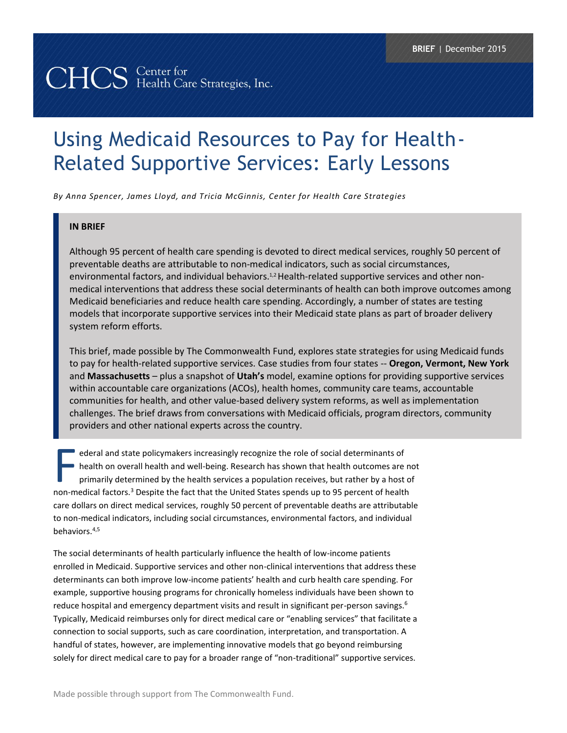# CHCS Center for<br>CHCS Health Care Strategies, Inc.

# Using Medicaid Resources to Pay for Health-Related Supportive Services: Early Lessons

*By Anna Spencer, James Lloyd, and Tricia McGinnis, Center for Health Care Strategies*

#### **IN BRIEF**

Although 95 percent of health care spending is devoted to direct medical services, roughly 50 percent of preventable deaths are attributable to non-medical indicators, such as social circumstances, environmental factors, and individual behaviors.<sup>1,2</sup> Health-related supportive services and other nonmedical interventions that address these social determinants of health can both improve outcomes among Medicaid beneficiaries and reduce health care spending. Accordingly, a number of states are testing models that incorporate supportive services into their Medicaid state plans as part of broader delivery system reform efforts.

This brief, made possible by The Commonwealth Fund, explores state strategies for using Medicaid funds to pay for health-related supportive services. Case studies from four states -- **Oregon, Vermont, New York**  and **Massachusetts** – plus a snapshot of **Utah's** model, examine options for providing supportive services within accountable care organizations (ACOs), health homes, community care teams, accountable communities for health, and other value-based delivery system reforms, as well as implementation challenges. The brief draws from conversations with Medicaid officials, program directors, community providers and other national experts across the country.

ederal and state policymakers increasingly recognize the role of social determinants of health on overall health and well-being. Research has shown that health outcomes are not primarily determined by the health services a population receives, but rather by a host of ederal and state policymakers increasingly recognize the role of social determinants of<br>health on overall health and well-being. Research has shown that health outcomes are n<br>primarily determined by the health services a p care dollars on direct medical services, roughly 50 percent of preventable deaths are attributable to non-medical indicators, including social circumstances, environmental factors, and individual behaviors.4,5

The social determinants of health particularly influence the health of low-income patients enrolled in Medicaid. Supportive services and other non-clinical interventions that address these determinants can both improve low-income patients' health and curb health care spending. For example, supportive housing programs for chronically homeless individuals have been shown to reduce hospital and emergency department visits and result in significant per-person savings.<sup>6</sup> Typically, Medicaid reimburses only for direct medical care or "enabling services" that facilitate a connection to social supports, such as care coordination, interpretation, and transportation. A handful of states, however, are implementing innovative models that go beyond reimbursing solely for direct medical care to pay for a broader range of "non-traditional" supportive services.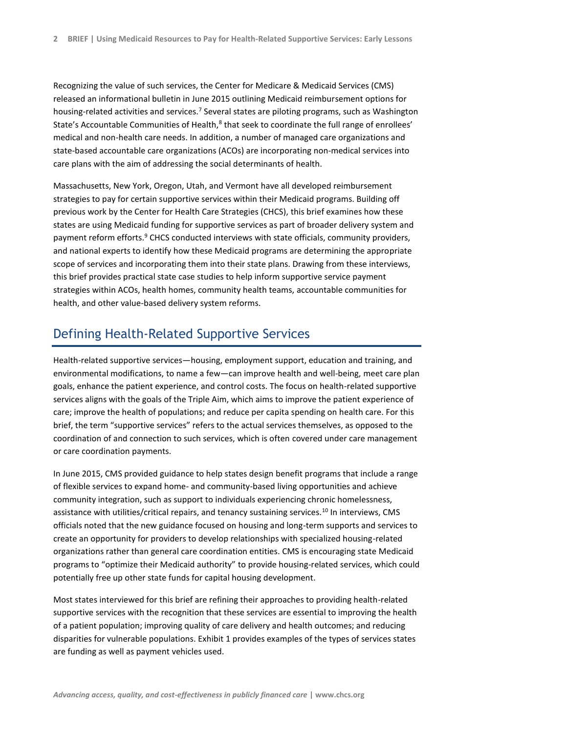Recognizing the value of such services, the Center for Medicare & Medicaid Services (CMS) released an informational bulletin in June 2015 outlining Medicaid reimbursement options for housing-related activities and services.<sup>7</sup> Several states are piloting programs, such as Washington State's Accountable Communities of Health,<sup>8</sup> that seek to coordinate the full range of enrollees' medical and non-health care needs. In addition, a number of managed care organizations and state-based accountable care organizations (ACOs) are incorporating non-medical services into care plans with the aim of addressing the social determinants of health.

Massachusetts, New York, Oregon, Utah, and Vermont have all developed reimbursement strategies to pay for certain supportive services within their Medicaid programs. Building off previous work by the Center for Health Care Strategies (CHCS), this brief examines how these states are using Medicaid funding for supportive services as part of broader delivery system and payment reform efforts.<sup>9</sup> CHCS conducted interviews with state officials, community providers, and national experts to identify how these Medicaid programs are determining the appropriate scope of services and incorporating them into their state plans. Drawing from these interviews, this brief provides practical state case studies to help inform supportive service payment strategies within ACOs, health homes, community health teams, accountable communities for health, and other value-based delivery system reforms.

# Defining Health-Related Supportive Services

Health-related supportive services—housing, employment support, education and training, and environmental modifications, to name a few—can improve health and well-being, meet care plan goals, enhance the patient experience, and control costs. The focus on health-related supportive services aligns with the goals of the Triple Aim, which aims to improve the patient experience of care; improve the health of populations; and reduce per capita spending on health care. For this brief, the term "supportive services" refers to the actual services themselves, as opposed to the coordination of and connection to such services, which is often covered under care management or care coordination payments.

In June 2015, CMS provided guidance to help states design benefit programs that include a range of flexible services to expand home- and community-based living opportunities and achieve community integration, such as support to individuals experiencing chronic homelessness, assistance with utilities/critical repairs, and tenancy sustaining services.<sup>10</sup> In interviews, CMS officials noted that the new guidance focused on housing and long-term supports and services to create an opportunity for providers to develop relationships with specialized housing-related organizations rather than general care coordination entities. CMS is encouraging state Medicaid programs to "optimize their Medicaid authority" to provide housing-related services, which could potentially free up other state funds for capital housing development.

Most states interviewed for this brief are refining their approaches to providing health-related supportive services with the recognition that these services are essential to improving the health of a patient population; improving quality of care delivery and health outcomes; and reducing disparities for vulnerable populations. Exhibit 1 provides examples of the types of services states are funding as well as payment vehicles used.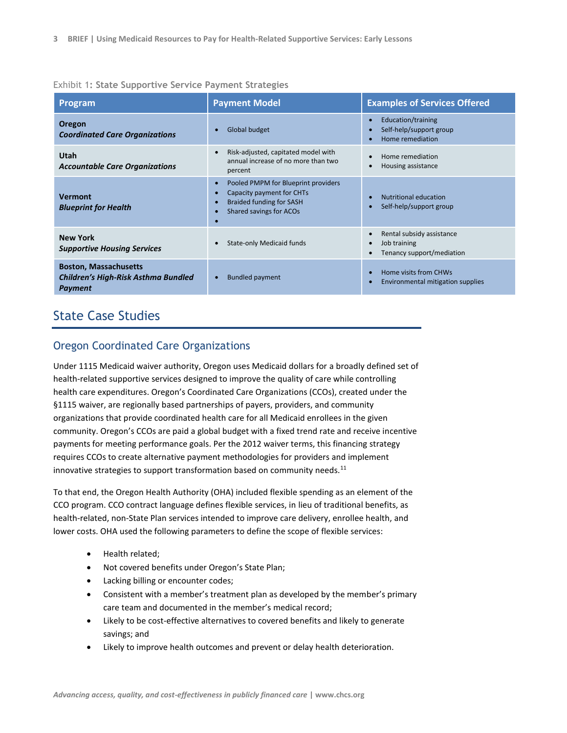#### Exhibit 1**: State Supportive Service Payment Strategies**

| <b>Program</b>                                                                               | <b>Payment Model</b>                                                                                                                                                               | <b>Examples of Services Offered</b>                                                              |
|----------------------------------------------------------------------------------------------|------------------------------------------------------------------------------------------------------------------------------------------------------------------------------------|--------------------------------------------------------------------------------------------------|
| <b>Oregon</b><br><b>Coordinated Care Organizations</b>                                       | Global budget<br>$\bullet$                                                                                                                                                         | Education/training<br>$\bullet$<br>Self-help/support group<br>$\bullet$<br>Home remediation      |
| Utah<br><b>Accountable Care Organizations</b>                                                | Risk-adjusted, capitated model with<br>$\bullet$<br>annual increase of no more than two<br>percent                                                                                 | Home remediation<br>$\bullet$<br>Housing assistance<br>$\bullet$                                 |
| <b>Vermont</b><br><b>Blueprint for Health</b>                                                | Pooled PMPM for Blueprint providers<br>$\bullet$<br>Capacity payment for CHTs<br>$\bullet$<br><b>Braided funding for SASH</b><br>$\bullet$<br>Shared savings for ACOs<br>$\bullet$ | Nutritional education<br>$\bullet$<br>Self-help/support group<br>$\bullet$                       |
| <b>New York</b><br><b>Supportive Housing Services</b>                                        | State-only Medicaid funds                                                                                                                                                          | Rental subsidy assistance<br>$\bullet$<br>Job training<br>$\bullet$<br>Tenancy support/mediation |
| <b>Boston, Massachusetts</b><br><b>Children's High-Risk Asthma Bundled</b><br><b>Payment</b> | <b>Bundled payment</b><br>$\bullet$                                                                                                                                                | Home visits from CHWs<br>$\bullet$<br>Environmental mitigation supplies<br>$\bullet$             |

# State Case Studies

### Oregon Coordinated Care Organizations

Under 1115 Medicaid waiver authority, Oregon uses Medicaid dollars for a broadly defined set of health-related supportive services designed to improve the quality of care while controlling health care expenditures. Oregon's Coordinated Care Organizations (CCOs), created under the §1115 waiver, are regionally based partnerships of payers, providers, and community organizations that provide coordinated health care for all Medicaid enrollees in the given community. Oregon's CCOs are paid a global budget with a fixed trend rate and receive incentive payments for meeting performance goals. Per the 2012 waiver terms, this financing strategy requires CCOs to create alternative payment methodologies for providers and implement innovative strategies to support transformation based on community needs. $^{11}$ 

To that end, the Oregon Health Authority (OHA) included flexible spending as an element of the CCO program. CCO contract language defines flexible services, in lieu of traditional benefits, as health-related, non-State Plan services intended to improve care delivery, enrollee health, and lower costs. OHA used the following parameters to define the scope of flexible services:

- Health related;
- Not covered benefits under Oregon's State Plan;
- Lacking billing or encounter codes;
- Consistent with a member's treatment plan as developed by the member's primary care team and documented in the member's medical record;
- Likely to be cost-effective alternatives to covered benefits and likely to generate savings; and
- Likely to improve health outcomes and prevent or delay health deterioration.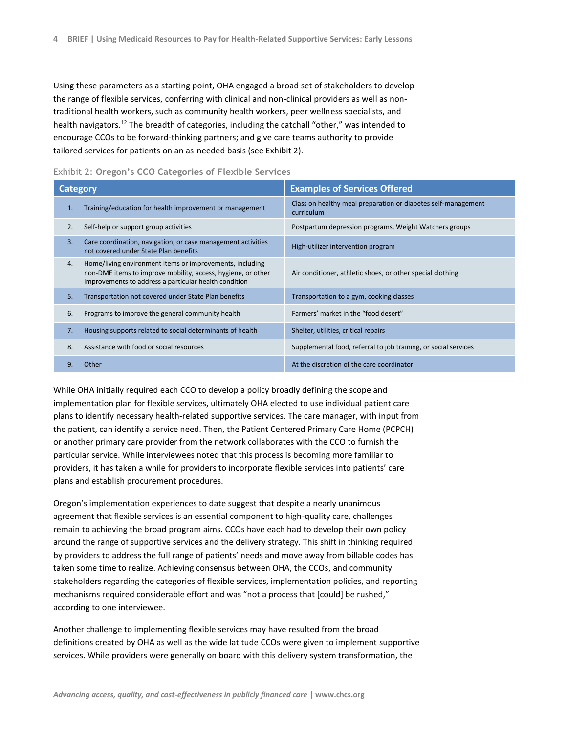Using these parameters as a starting point, OHA engaged a broad set of stakeholders to develop the range of flexible services, conferring with clinical and non-clinical providers as well as nontraditional health workers, such as community health workers, peer wellness specialists, and health navigators.<sup>12</sup> The breadth of categories, including the catchall "other," was intended to encourage CCOs to be forward-thinking partners; and give care teams authority to provide tailored services for patients on an as-needed basis (see Exhibit 2).

| Category       |                                                                                                                                                                                   | <b>Examples of Services Offered</b>                                         |  |
|----------------|-----------------------------------------------------------------------------------------------------------------------------------------------------------------------------------|-----------------------------------------------------------------------------|--|
| 1.             | Training/education for health improvement or management                                                                                                                           | Class on healthy meal preparation or diabetes self-management<br>curriculum |  |
| 2.             | Self-help or support group activities                                                                                                                                             | Postpartum depression programs, Weight Watchers groups                      |  |
| 3.             | Care coordination, navigation, or case management activities<br>not covered under State Plan benefits                                                                             | High-utilizer intervention program                                          |  |
| $\mathbf{4}$ . | Home/living environment items or improvements, including<br>non-DME items to improve mobility, access, hygiene, or other<br>improvements to address a particular health condition | Air conditioner, athletic shoes, or other special clothing                  |  |
| 5.             | Transportation not covered under State Plan benefits                                                                                                                              | Transportation to a gym, cooking classes                                    |  |
| 6.             | Programs to improve the general community health                                                                                                                                  | Farmers' market in the "food desert"                                        |  |
| 7.             | Housing supports related to social determinants of health                                                                                                                         | Shelter, utilities, critical repairs                                        |  |
| 8.             | Assistance with food or social resources                                                                                                                                          | Supplemental food, referral to job training, or social services             |  |
|                | Other                                                                                                                                                                             | At the discretion of the care coordinator                                   |  |

#### Exhibit 2: **Oregon's CCO Categories of Flexible Services**

While OHA initially required each CCO to develop a policy broadly defining the scope and implementation plan for flexible services, ultimately OHA elected to use individual patient care plans to identify necessary health-related supportive services. The care manager, with input from the patient, can identify a service need. Then, the Patient Centered Primary Care Home (PCPCH) or another primary care provider from the network collaborates with the CCO to furnish the particular service. While interviewees noted that this process is becoming more familiar to providers, it has taken a while for providers to incorporate flexible services into patients' care plans and establish procurement procedures.

Oregon's implementation experiences to date suggest that despite a nearly unanimous agreement that flexible services is an essential component to high-quality care, challenges remain to achieving the broad program aims. CCOs have each had to develop their own policy around the range of supportive services and the delivery strategy. This shift in thinking required by providers to address the full range of patients' needs and move away from billable codes has taken some time to realize. Achieving consensus between OHA, the CCOs, and community stakeholders regarding the categories of flexible services, implementation policies, and reporting mechanisms required considerable effort and was "not a process that [could] be rushed," according to one interviewee.

Another challenge to implementing flexible services may have resulted from the broad definitions created by OHA as well as the wide latitude CCOs were given to implement supportive services. While providers were generally on board with this delivery system transformation, the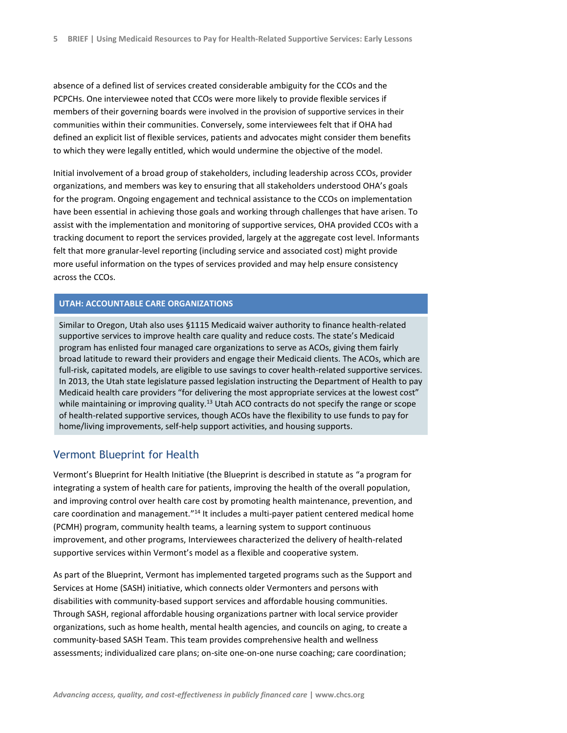absence of a defined list of services created considerable ambiguity for the CCOs and the PCPCHs. One interviewee noted that CCOs were more likely to provide flexible services if members of their governing boards were involved in the provision of supportive services in their communities within their communities. Conversely, some interviewees felt that if OHA had defined an explicit list of flexible services, patients and advocates might consider them benefits to which they were legally entitled, which would undermine the objective of the model.

Initial involvement of a broad group of stakeholders, including leadership across CCOs, provider organizations, and members was key to ensuring that all stakeholders understood OHA's goals for the program. Ongoing engagement and technical assistance to the CCOs on implementation have been essential in achieving those goals and working through challenges that have arisen. To assist with the implementation and monitoring of supportive services, OHA provided CCOs with a tracking document to report the services provided, largely at the aggregate cost level. Informants felt that more granular-level reporting (including service and associated cost) might provide more useful information on the types of services provided and may help ensure consistency across the CCOs.

#### **UTAH: ACCOUNTABLE CARE ORGANIZATIONS**

Similar to Oregon, Utah also uses §1115 Medicaid waiver authority to finance health-related supportive services to improve health care quality and reduce costs. The state's Medicaid program has enlisted four managed care organizations to serve as ACOs, giving them fairly broad latitude to reward their providers and engage their Medicaid clients. The ACOs, which are full-risk, capitated models, are eligible to use savings to cover health-related supportive services. In 2013, the Utah state legislature passed legislation instructing the Department of Health to pay Medicaid health care providers "for delivering the most appropriate services at the lowest cost" while maintaining or improving quality.<sup>13</sup> Utah ACO contracts do not specify the range or scope of health-related supportive services, though ACOs have the flexibility to use funds to pay for home/living improvements, self-help support activities, and housing supports.

#### Vermont Blueprint for Health

Vermont's Blueprint for Health Initiative (the Blueprint is described in statute as "a program for integrating a system of health care for patients, improving the health of the overall population, and improving control over health care cost by promoting health maintenance, prevention, and care coordination and management."<sup>14</sup> It includes a multi-payer patient centered medical home (PCMH) program, community health teams, a learning system to support continuous improvement, and other programs, Interviewees characterized the delivery of health-related supportive services within Vermont's model as a flexible and cooperative system.

As part of the Blueprint, Vermont has implemented targeted programs such as the Support and Services at Home (SASH) initiative, which connects older Vermonters and persons with disabilities with community-based support services and affordable housing communities. Through SASH, regional affordable housing organizations partner with local service provider organizations, such as home health, mental health agencies, and councils on aging, to create a community-based SASH Team. This team provides comprehensive health and wellness assessments; individualized care plans; on-site one-on-one nurse coaching; care coordination;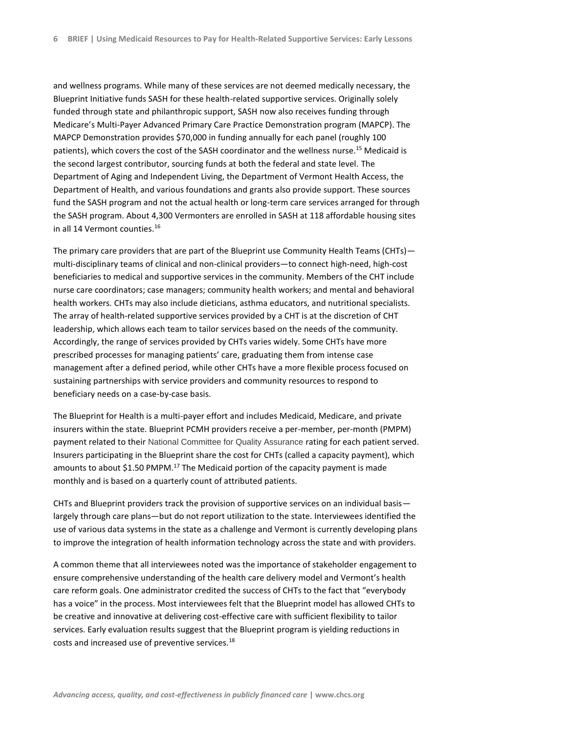and wellness programs. While many of these services are not deemed medically necessary, the Blueprint Initiative funds SASH for these health-related supportive services. Originally solely funded through state and philanthropic support, SASH now also receives funding through Medicare's Multi-Payer Advanced Primary Care Practice Demonstration program (MAPCP). The MAPCP Demonstration provides \$70,000 in funding annually for each panel (roughly 100 patients), which covers the cost of the SASH coordinator and the wellness nurse.<sup>15</sup> Medicaid is the second largest contributor, sourcing funds at both the federal and state level. The Department of Aging and Independent Living, the Department of Vermont Health Access, the Department of Health, and various foundations and grants also provide support. These sources fund the SASH program and not the actual health or long-term care services arranged for through the SASH program. About 4,300 Vermonters are enrolled in SASH at 118 affordable housing sites in all 14 Vermont counties.<sup>16</sup>

The primary care providers that are part of the Blueprint use Community Health Teams (CHTs) multi-disciplinary teams of clinical and non-clinical providers—to connect high-need, high-cost beneficiaries to medical and supportive services in the community. Members of the CHT include nurse care coordinators; case managers; community health workers; and mental and behavioral health workers. CHTs may also include dieticians, asthma educators, and nutritional specialists. The array of health-related supportive services provided by a CHT is at the discretion of CHT leadership, which allows each team to tailor services based on the needs of the community. Accordingly, the range of services provided by CHTs varies widely. Some CHTs have more prescribed processes for managing patients' care, graduating them from intense case management after a defined period, while other CHTs have a more flexible process focused on sustaining partnerships with service providers and community resources to respond to beneficiary needs on a case-by-case basis.

The Blueprint for Health is a multi-payer effort and includes Medicaid, Medicare, and private insurers within the state. Blueprint PCMH providers receive a per-member, per-month (PMPM) payment related to their National Committee for Quality Assurance rating for each patient served. Insurers participating in the Blueprint share the cost for CHTs (called a capacity payment), which amounts to about \$1.50 PMPM.<sup>17</sup> The Medicaid portion of the capacity payment is made monthly and is based on a quarterly count of attributed patients.

CHTs and Blueprint providers track the provision of supportive services on an individual basis largely through care plans—but do not report utilization to the state. Interviewees identified the use of various data systems in the state as a challenge and Vermont is currently developing plans to improve the integration of health information technology across the state and with providers.

A common theme that all interviewees noted was the importance of stakeholder engagement to ensure comprehensive understanding of the health care delivery model and Vermont's health care reform goals. One administrator credited the success of CHTs to the fact that "everybody has a voice" in the process. Most interviewees felt that the Blueprint model has allowed CHTs to be creative and innovative at delivering cost-effective care with sufficient flexibility to tailor services. Early evaluation results suggest that the Blueprint program is yielding reductions in costs and increased use of preventive services.18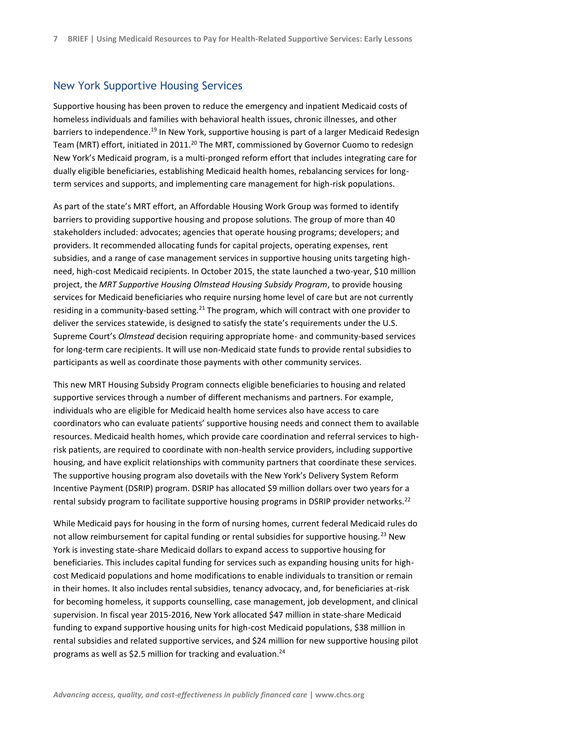#### New York Supportive Housing Services

Supportive housing has been proven to reduce the emergency and inpatient Medicaid costs of homeless individuals and families with behavioral health issues, chronic illnesses, and other barriers to independence.<sup>19</sup> In New York, supportive housing is part of a larger Medicaid Redesign Team (MRT) effort, initiated in 2011.<sup>20</sup> The MRT, commissioned by Governor Cuomo to redesign New York's Medicaid program, is a multi-pronged reform effort that includes integrating care for dually eligible beneficiaries, establishing Medicaid health homes, rebalancing services for longterm services and supports, and implementing care management for high-risk populations.

As part of the state's MRT effort, an Affordable Housing Work Group was formed to identify barriers to providing supportive housing and propose solutions. The group of more than 40 stakeholders included: advocates; agencies that operate housing programs; developers; and providers. It recommended allocating funds for capital projects, operating expenses, rent subsidies, and a range of case management services in supportive housing units targeting highneed, high-cost Medicaid recipients. In October 2015, the state launched a two-year, \$10 million project, the *MRT Supportive Housing Olmstead Housing Subsidy Program*, to provide housing services for Medicaid beneficiaries who require nursing home level of care but are not currently residing in a community-based setting.<sup>21</sup> The program, which will contract with one provider to deliver the services statewide, is designed to satisfy the state's requirements under the U.S. Supreme Court's *Olmstead* decision requiring appropriate home- and community-based services for long-term care recipients. It will use non-Medicaid state funds to provide rental subsidies to participants as well as coordinate those payments with other community services.

This new MRT Housing Subsidy Program connects eligible beneficiaries to housing and related supportive services through a number of different mechanisms and partners. For example, individuals who are eligible for Medicaid health home services also have access to care coordinators who can evaluate patients' supportive housing needs and connect them to available resources. Medicaid health homes, which provide care coordination and referral services to highrisk patients, are required to coordinate with non-health service providers, including supportive housing, and have explicit relationships with community partners that coordinate these services. The supportive housing program also dovetails with the New York's Delivery System Reform Incentive Payment (DSRIP) program. DSRIP has allocated \$9 million dollars over two years for a rental subsidy program to facilitate supportive housing programs in DSRIP provider networks.<sup>22</sup>

While Medicaid pays for housing in the form of nursing homes, current federal Medicaid rules do not allow reimbursement for capital funding or rental subsidies for supportive housing.<sup>23</sup> New York is investing state-share Medicaid dollars to expand access to supportive housing for beneficiaries. This includes capital funding for services such as expanding housing units for highcost Medicaid populations and home modifications to enable individuals to transition or remain in their homes. It also includes rental subsidies, tenancy advocacy, and, for beneficiaries at-risk for becoming homeless, it supports counselling, case management, job development, and clinical supervision. In fiscal year 2015-2016, New York allocated \$47 million in state-share Medicaid funding to expand supportive housing units for high-cost Medicaid populations, \$38 million in rental subsidies and related supportive services, and \$24 million for new supportive housing pilot programs as well as \$2.5 million for tracking and evaluation.<sup>24</sup>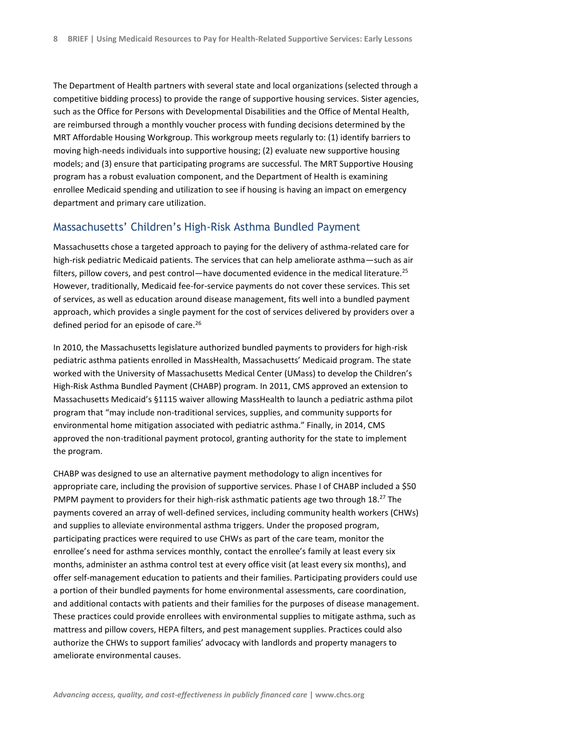The Department of Health partners with several state and local organizations (selected through a competitive bidding process) to provide the range of supportive housing services. Sister agencies, such as the Office for Persons with Developmental Disabilities and the Office of Mental Health, are reimbursed through a monthly voucher process with funding decisions determined by the MRT Affordable Housing Workgroup. This workgroup meets regularly to: (1) identify barriers to moving high-needs individuals into supportive housing; (2) evaluate new supportive housing models; and (3) ensure that participating programs are successful. The MRT Supportive Housing program has a robust evaluation component, and the Department of Health is examining enrollee Medicaid spending and utilization to see if housing is having an impact on emergency department and primary care utilization.

#### Massachusetts' Children's High-Risk Asthma Bundled Payment

Massachusetts chose a targeted approach to paying for the delivery of asthma-related care for high-risk pediatric Medicaid patients. The services that can help ameliorate asthma—such as air filters, pillow covers, and pest control—have documented evidence in the medical literature.<sup>25</sup> However, traditionally, Medicaid fee-for-service payments do not cover these services. This set of services, as well as education around disease management, fits well into a bundled payment approach, which provides a single payment for the cost of services delivered by providers over a defined period for an episode of care.<sup>26</sup>

In 2010, the Massachusetts legislature authorized bundled payments to providers for high-risk pediatric asthma patients enrolled in MassHealth, Massachusetts' Medicaid program. The state worked with the University of Massachusetts Medical Center (UMass) to develop the Children's High-Risk Asthma Bundled Payment (CHABP) program. In 2011, CMS approved an extension to Massachusetts Medicaid's §1115 waiver allowing MassHealth to launch a pediatric asthma pilot program that "may include non-traditional services, supplies, and community supports for environmental home mitigation associated with pediatric asthma." Finally, in 2014, CMS approved the non-traditional payment protocol, granting authority for the state to implement the program.

CHABP was designed to use an alternative payment methodology to align incentives for appropriate care, including the provision of supportive services. Phase I of CHABP included a \$50 PMPM payment to providers for their high-risk asthmatic patients age two through 18.<sup>27</sup> The payments covered an array of well-defined services, including community health workers (CHWs) and supplies to alleviate environmental asthma triggers. Under the proposed program, participating practices were required to use CHWs as part of the care team, monitor the enrollee's need for asthma services monthly, contact the enrollee's family at least every six months, administer an asthma control test at every office visit (at least every six months), and offer self-management education to patients and their families. Participating providers could use a portion of their bundled payments for home environmental assessments, care coordination, and additional contacts with patients and their families for the purposes of disease management. These practices could provide enrollees with environmental supplies to mitigate asthma, such as mattress and pillow covers, HEPA filters, and pest management supplies. Practices could also authorize the CHWs to support families' advocacy with landlords and property managers to ameliorate environmental causes.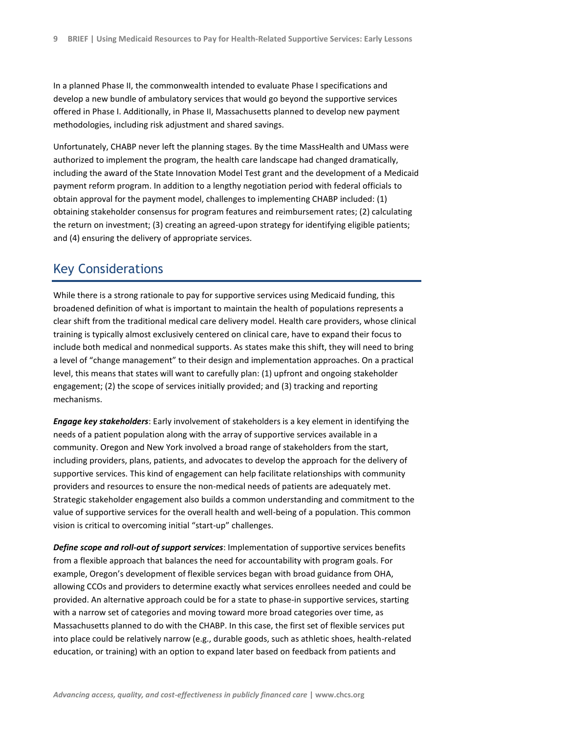In a planned Phase II, the commonwealth intended to evaluate Phase I specifications and develop a new bundle of ambulatory services that would go beyond the supportive services offered in Phase I. Additionally, in Phase II, Massachusetts planned to develop new payment methodologies, including risk adjustment and shared savings.

Unfortunately, CHABP never left the planning stages. By the time MassHealth and UMass were authorized to implement the program, the health care landscape had changed dramatically, including the award of the State Innovation Model Test grant and the development of a Medicaid payment reform program. In addition to a lengthy negotiation period with federal officials to obtain approval for the payment model, challenges to implementing CHABP included: (1) obtaining stakeholder consensus for program features and reimbursement rates; (2) calculating the return on investment; (3) creating an agreed-upon strategy for identifying eligible patients; and (4) ensuring the delivery of appropriate services.

## Key Considerations

While there is a strong rationale to pay for supportive services using Medicaid funding, this broadened definition of what is important to maintain the health of populations represents a clear shift from the traditional medical care delivery model. Health care providers, whose clinical training is typically almost exclusively centered on clinical care, have to expand their focus to include both medical and nonmedical supports. As states make this shift, they will need to bring a level of "change management" to their design and implementation approaches. On a practical level, this means that states will want to carefully plan: (1) upfront and ongoing stakeholder engagement; (2) the scope of services initially provided; and (3) tracking and reporting mechanisms.

*Engage key stakeholders*: Early involvement of stakeholders is a key element in identifying the needs of a patient population along with the array of supportive services available in a community. Oregon and New York involved a broad range of stakeholders from the start, including providers, plans, patients, and advocates to develop the approach for the delivery of supportive services. This kind of engagement can help facilitate relationships with community providers and resources to ensure the non-medical needs of patients are adequately met. Strategic stakeholder engagement also builds a common understanding and commitment to the value of supportive services for the overall health and well-being of a population. This common vision is critical to overcoming initial "start-up" challenges.

*Define scope and roll-out of support services*: Implementation of supportive services benefits from a flexible approach that balances the need for accountability with program goals. For example, Oregon's development of flexible services began with broad guidance from OHA, allowing CCOs and providers to determine exactly what services enrollees needed and could be provided. An alternative approach could be for a state to phase-in supportive services, starting with a narrow set of categories and moving toward more broad categories over time, as Massachusetts planned to do with the CHABP. In this case, the first set of flexible services put into place could be relatively narrow (e.g., durable goods, such as athletic shoes, health-related education, or training) with an option to expand later based on feedback from patients and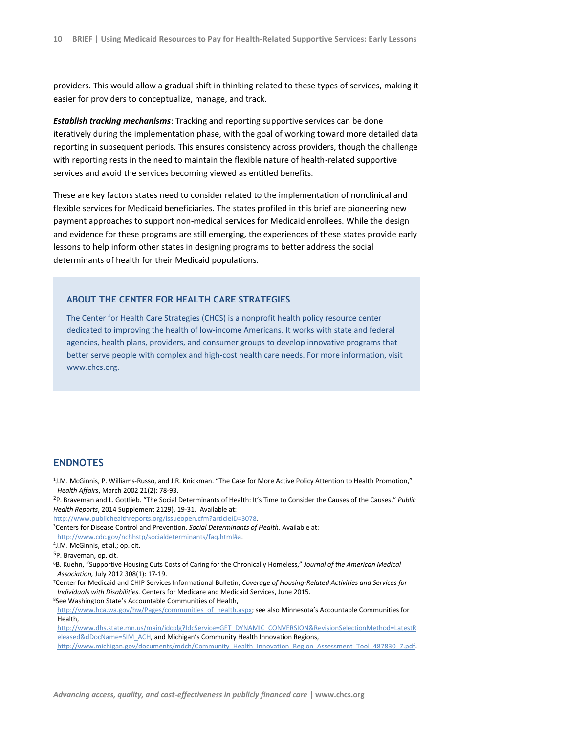providers. This would allow a gradual shift in thinking related to these types of services, making it easier for providers to conceptualize, manage, and track.

*Establish tracking mechanisms*: Tracking and reporting supportive services can be done iteratively during the implementation phase, with the goal of working toward more detailed data reporting in subsequent periods. This ensures consistency across providers, though the challenge with reporting rests in the need to maintain the flexible nature of health-related supportive services and avoid the services becoming viewed as entitled benefits.

These are key factors states need to consider related to the implementation of nonclinical and flexible services for Medicaid beneficiaries. The states profiled in this brief are pioneering new payment approaches to support non-medical services for Medicaid enrollees. While the design and evidence for these programs are still emerging, the experiences of these states provide early lessons to help inform other states in designing programs to better address the social determinants of health for their Medicaid populations.

#### **ABOUT THE CENTER FOR HEALTH CARE STRATEGIES**

The Center for Health Care Strategies (CHCS) is a nonprofit health policy resource center dedicated to improving the health of low-income Americans. It works with state and federal agencies, health plans, providers, and consumer groups to develop innovative programs that better serve people with complex and high-cost health care needs. For more information, visit www.chcs.org.

#### **ENDNOTES**

1 J.M. McGinnis, P. Williams-Russo, and J.R. Knickman. "The Case for More Active Policy Attention to Health Promotion," *Health Affairs*, March 2002 21(2): 78-93.

<sup>2</sup>P. Braveman and L. Gottlieb. "The Social Determinants of Health: It's Time to Consider the Causes of the Causes." *Public Health Reports*, 2014 Supplement 2129), 19-31. Available at:

[http://www.publichealthreports.org/issueopen.cfm?articleID=3078.](http://www.publichealthreports.org/issueopen.cfm?articleID=3078)

<sup>3</sup>Centers for Disease Control and Prevention. *Social Determinants of Health*. Available at:

[http://www.cdc.gov/nchhstp/socialdeterminants/faq.html#a.](http://www.cdc.gov/nchhstp/socialdeterminants/faq.html) 

```
4
J.M. McGinnis, et al.; op. cit.
```
<sup>5</sup>P. Braveman, op. cit.

<sup>6</sup>B. Kuehn, "Supportive Housing Cuts Costs of Caring for the Chronically Homeless," *Journal of the American Medical Association,* July 2012 308(1): 17-19.

<sup>7</sup>Center for Medicaid and CHIP Services Informational Bulletin, *Coverage of Housing-Related Activities and Services for Individuals with Disabilities.* Centers for Medicare and Medicaid Services, June 2015.

<sup>8</sup>See Washington State's Accountable Communities of Health,

[http://www.hca.wa.gov/hw/Pages/communities\\_of\\_health.aspx](http://www.hca.wa.gov/hw/Pages/communities_of_health.aspx); see also Minnesota's Accountable Communities for **Health** 

[http://www.dhs.state.mn.us/main/idcplg?IdcService=GET\\_DYNAMIC\\_CONVERSION&RevisionSelectionMethod=LatestR](http://www.dhs.state.mn.us/main/idcplg?IdcService=GET_DYNAMIC_CONVERSION&RevisionSelectionMethod=LatestReleased&dDocName=SIM_ACH) [eleased&dDocName=SIM\\_ACH](http://www.dhs.state.mn.us/main/idcplg?IdcService=GET_DYNAMIC_CONVERSION&RevisionSelectionMethod=LatestReleased&dDocName=SIM_ACH), and Michigan's Community Health Innovation Regions, [http://www.michigan.gov/documents/mdch/Community\\_Health\\_Innovation\\_Region\\_Assessment\\_Tool\\_487830\\_7.pdf.](http://www.michigan.gov/documents/mdch/Community_Health_Innovation_Region_Assessment_Tool_487830_7.pdf)